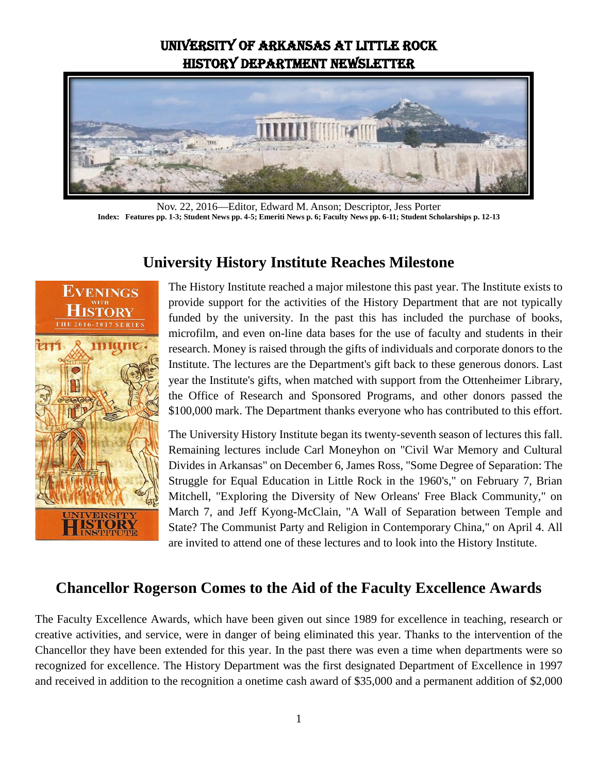## University of Arkansas at Little Rock History Department Newsletter



Nov. 22, 2016—Editor, Edward M. Anson; Descriptor, Jess Porter **Index: Features pp. 1-3; Student News pp. 4-5; Emeriti News p. 6; Faculty News pp. 6-11; Student Scholarships p. 12-13**



#### **University History Institute Reaches Milestone**

The History Institute reached a major milestone this past year. The Institute exists to provide support for the activities of the History Department that are not typically funded by the university. In the past this has included the purchase of books, microfilm, and even on-line data bases for the use of faculty and students in their research. Money is raised through the gifts of individuals and corporate donors to the Institute. The lectures are the Department's gift back to these generous donors. Last year the Institute's gifts, when matched with support from the Ottenheimer Library, the Office of Research and Sponsored Programs, and other donors passed the \$100,000 mark. The Department thanks everyone who has contributed to this effort.

The University History Institute began its twenty-seventh season of lectures this fall. Remaining lectures include Carl Moneyhon on "Civil War Memory and Cultural Divides in Arkansas" on December 6, James Ross, "Some Degree of Separation: The Struggle for Equal Education in Little Rock in the 1960's," on February 7, Brian Mitchell, "Exploring the Diversity of New Orleans' Free Black Community," on March 7, and Jeff Kyong-McClain, "A Wall of Separation between Temple and State? The Communist Party and Religion in Contemporary China," on April 4. All are invited to attend one of these lectures and to look into the History Institute.

#### **Chancellor Rogerson Comes to the Aid of the Faculty Excellence Awards**

The Faculty Excellence Awards, which have been given out since 1989 for excellence in teaching, research or creative activities, and service, were in danger of being eliminated this year. Thanks to the intervention of the Chancellor they have been extended for this year. In the past there was even a time when departments were so recognized for excellence. The History Department was the first designated Department of Excellence in 1997 and received in addition to the recognition a onetime cash award of \$35,000 and a permanent addition of \$2,000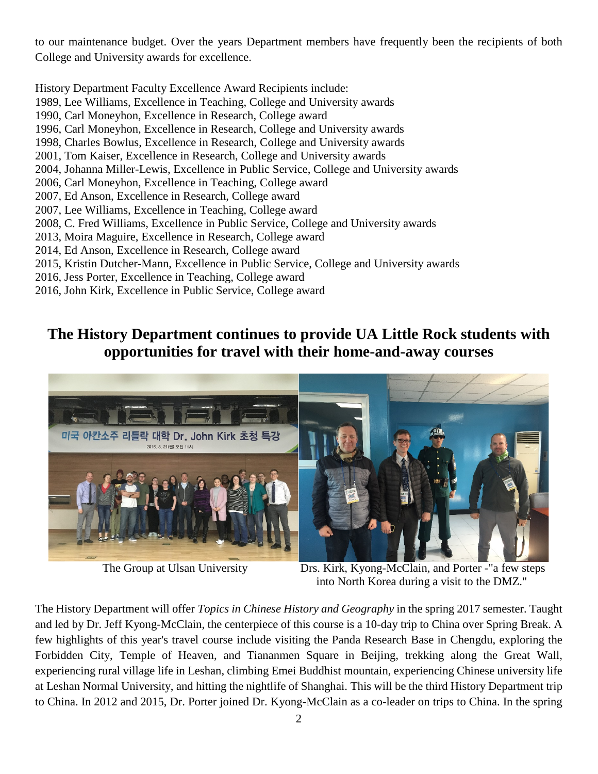to our maintenance budget. Over the years Department members have frequently been the recipients of both College and University awards for excellence.

History Department Faculty Excellence Award Recipients include: 1989, Lee Williams, Excellence in Teaching, College and University awards 1990, Carl Moneyhon, Excellence in Research, College award 1996, Carl Moneyhon, Excellence in Research, College and University awards 1998, Charles Bowlus, Excellence in Research, College and University awards 2001, Tom Kaiser, Excellence in Research, College and University awards 2004, Johanna Miller-Lewis, Excellence in Public Service, College and University awards 2006, Carl Moneyhon, Excellence in Teaching, College award 2007, Ed Anson, Excellence in Research, College award 2007, Lee Williams, Excellence in Teaching, College award 2008, C. Fred Williams, Excellence in Public Service, College and University awards 2013, Moira Maguire, Excellence in Research, College award 2014, Ed Anson, Excellence in Research, College award 2015, Kristin Dutcher-Mann, Excellence in Public Service, College and University awards 2016, Jess Porter, Excellence in Teaching, College award 2016, John Kirk, Excellence in Public Service, College award

## **The History Department continues to provide UA Little Rock students with opportunities for travel with their home-and-away courses**



The Group at Ulsan University Drs. Kirk, Kyong-McClain, and Porter -"a few steps into North Korea during a visit to the DMZ."

The History Department will offer *Topics in Chinese History and Geography* in the spring 2017 semester. Taught and led by Dr. Jeff Kyong-McClain, the centerpiece of this course is a 10-day trip to China over Spring Break. A few highlights of this year's travel course include visiting the Panda Research Base in Chengdu, exploring the Forbidden City, Temple of Heaven, and Tiananmen Square in Beijing, trekking along the Great Wall, experiencing rural village life in Leshan, climbing Emei Buddhist mountain, experiencing Chinese university life at Leshan Normal University, and hitting the nightlife of Shanghai. This will be the third History Department trip to China. In 2012 and 2015, Dr. Porter joined Dr. Kyong-McClain as a co-leader on trips to China. In the spring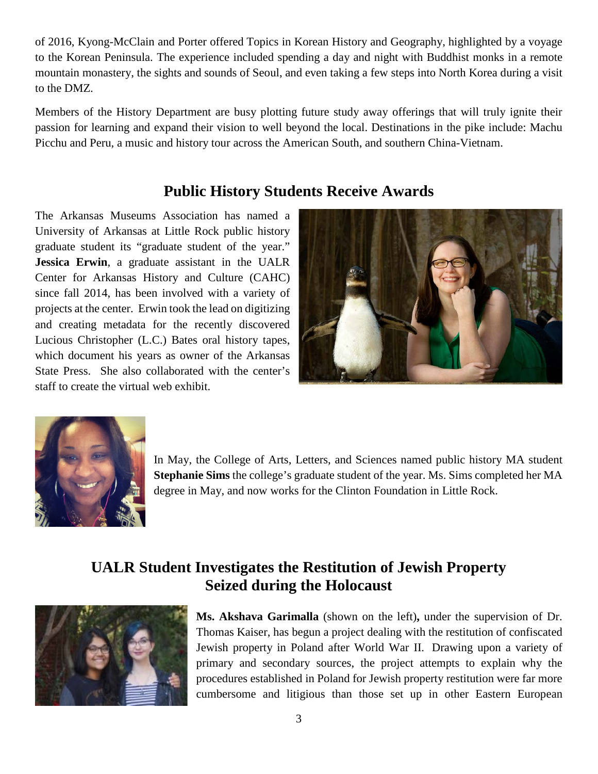of 2016, Kyong-McClain and Porter offered Topics in Korean History and Geography, highlighted by a voyage to the Korean Peninsula. The experience included spending a day and night with Buddhist monks in a remote mountain monastery, the sights and sounds of Seoul, and even taking a few steps into North Korea during a visit to the DMZ.

Members of the History Department are busy plotting future study away offerings that will truly ignite their passion for learning and expand their vision to well beyond the local. Destinations in the pike include: Machu Picchu and Peru, a music and history tour across the American South, and southern China-Vietnam.

## **Public History Students Receive Awards**

The [Arkansas Museums Association](http://www.armusa.org/) has named a University of Arkansas at Little Rock public history graduate student its "graduate student of the year." **Jessica Erwin**, a graduate assistant in the UALR Center for Arkansas History and Culture (CAHC) since fall 2014, has been involved with a variety of projects at the center. Erwin took the lead on digitizing and creating metadata for the recently discovered Lucious Christopher (L.C.) Bates oral history tapes, which document his years as owner of the Arkansas State Press. She also collaborated with the center's staff to create the virtual web exhibit.





In May, the College of Arts, Letters, and Sciences named public history MA student **Stephanie Sims** the college's graduate student of the year. Ms. Sims completed her MA degree in May, and now works for the Clinton Foundation in Little Rock.

# **UALR Student Investigates the Restitution of Jewish Property Seized during the Holocaust**



**Ms. Akshava Garimalla** (shown on the left)**,** under the supervision of Dr. Thomas Kaiser, has begun a project dealing with the restitution of confiscated Jewish property in Poland after World War II. Drawing upon a variety of primary and secondary sources, the project attempts to explain why the procedures established in Poland for Jewish property restitution were far more cumbersome and litigious than those set up in other Eastern European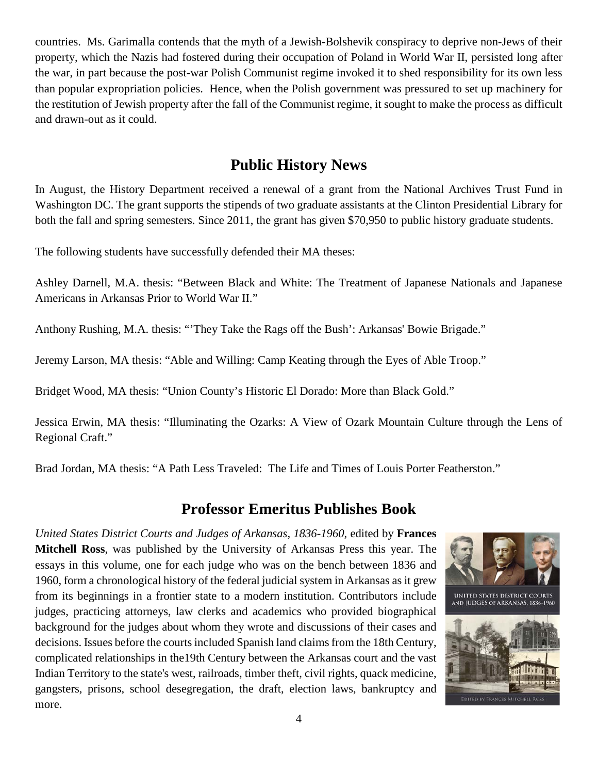countries. Ms. Garimalla contends that the myth of a Jewish-Bolshevik conspiracy to deprive non-Jews of their property, which the Nazis had fostered during their occupation of Poland in World War II, persisted long after the war, in part because the post-war Polish Communist regime invoked it to shed responsibility for its own less than popular expropriation policies. Hence, when the Polish government was pressured to set up machinery for the restitution of Jewish property after the fall of the Communist regime, it sought to make the process as difficult and drawn-out as it could.

## **Public History News**

In August, the History Department received a renewal of a grant from the National Archives Trust Fund in Washington DC. The grant supports the stipends of two graduate assistants at the Clinton Presidential Library for both the fall and spring semesters. Since 2011, the grant has given \$70,950 to public history graduate students.

The following students have successfully defended their MA theses:

Ashley Darnell, M.A. thesis: "Between Black and White: The Treatment of Japanese Nationals and Japanese Americans in Arkansas Prior to World War II."

Anthony Rushing, M.A. thesis: "'They Take the Rags off the Bush': Arkansas' Bowie Brigade."

Jeremy Larson, MA thesis: "Able and Willing: Camp Keating through the Eyes of Able Troop."

Bridget Wood, MA thesis: "Union County's Historic El Dorado: More than Black Gold."

Jessica Erwin, MA thesis: "Illuminating the Ozarks: A View of Ozark Mountain Culture through the Lens of Regional Craft."

Brad Jordan, MA thesis: "A Path Less Traveled: The Life and Times of Louis Porter Featherston."

#### **Professor Emeritus Publishes Book**

*United States District Courts and Judges of Arkansas, 1836-1960*, edited by **Frances Mitchell Ross**, was published by the University of Arkansas Press this year. The essays in this volume, one for each judge who was on the bench between 1836 and 1960, form a chronological history of the federal judicial system in Arkansas as it grew from its beginnings in a frontier state to a modern institution. Contributors include judges, practicing attorneys, law clerks and academics who provided biographical background for the judges about whom they wrote and discussions of their cases and decisions. Issues before the courts included Spanish land claims from the 18th Century, complicated relationships in the19th Century between the Arkansas court and the vast Indian Territory to the state's west, railroads, timber theft, civil rights, quack medicine, gangsters, prisons, school desegregation, the draft, election laws, bankruptcy and more.



UNITED STATES DISTRICT COURTS AND JUDGES OF ARKANSAS, 1836-1960

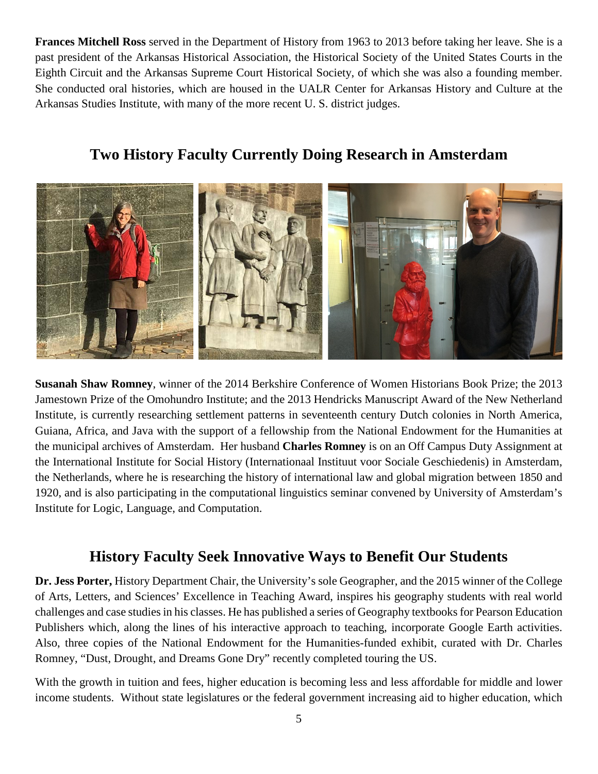**Frances Mitchell Ross** served in the Department of History from 1963 to 2013 before taking her leave. She is a past president of the Arkansas Historical Association, the Historical Society of the United States Courts in the Eighth Circuit and the Arkansas Supreme Court Historical Society, of which she was also a founding member. She conducted oral histories, which are housed in the UALR Center for Arkansas History and Culture at the Arkansas Studies Institute, with many of the more recent U. S. district judges.

## **Two History Faculty Currently Doing Research in Amsterdam**



**Susanah Shaw Romney**, winner of the 2014 Berkshire Conference of Women Historians Book Prize; the 2013 Jamestown Prize of the Omohundro Institute; and the 2013 Hendricks Manuscript Award of the New Netherland Institute, is currently researching settlement patterns in seventeenth century Dutch colonies in North America, Guiana, Africa, and Java with the support of a fellowship from the National Endowment for the Humanities at the municipal archives of Amsterdam. Her husband **Charles Romney** is on an Off Campus Duty Assignment at the International Institute for Social History (Internationaal Instituut voor Sociale Geschiedenis) in Amsterdam, the Netherlands, where he is researching the history of international law and global migration between 1850 and 1920, and is also participating in the computational linguistics seminar convened by University of Amsterdam's Institute for Logic, Language, and Computation.

## **History Faculty Seek Innovative Ways to Benefit Our Students**

**Dr. Jess Porter,** History Department Chair, the University's sole Geographer, and the 2015 winner of the College of Arts, Letters, and Sciences' Excellence in Teaching Award, inspires his geography students with real world challenges and case studies in his classes. He has published a series of Geography textbooks for Pearson Education Publishers which, along the lines of his interactive approach to teaching, incorporate Google Earth activities. Also, three copies of the National Endowment for the Humanities-funded exhibit, curated with Dr. Charles Romney, "Dust, Drought, and Dreams Gone Dry" recently completed touring the US.

With the growth in tuition and fees, higher education is becoming less and less affordable for middle and lower income students. Without state legislatures or the federal government increasing aid to higher education, which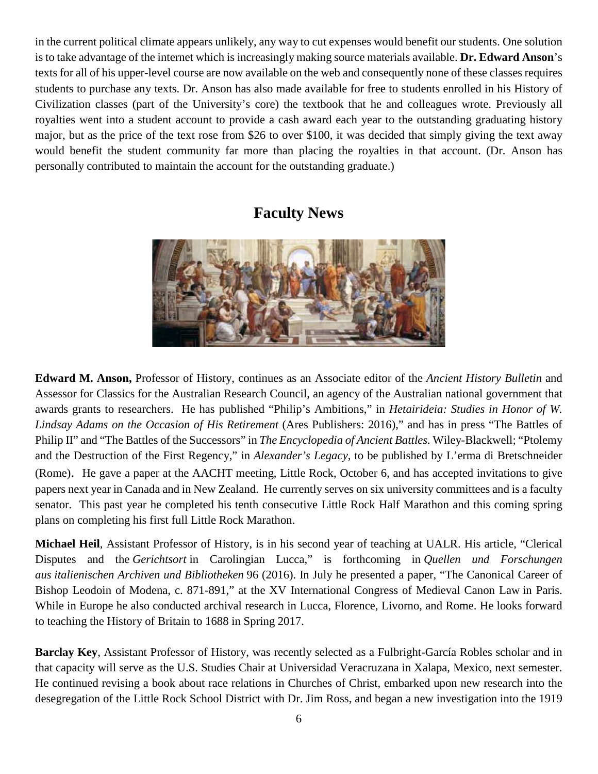in the current political climate appears unlikely, any way to cut expenses would benefit our students. One solution is to take advantage of the internet which is increasingly making source materials available. **Dr. Edward Anson**'s texts for all of his upper-level course are now available on the web and consequently none of these classes requires students to purchase any texts. Dr. Anson has also made available for free to students enrolled in his History of Civilization classes (part of the University's core) the textbook that he and colleagues wrote. Previously all royalties went into a student account to provide a cash award each year to the outstanding graduating history major, but as the price of the text rose from \$26 to over \$100, it was decided that simply giving the text away would benefit the student community far more than placing the royalties in that account. (Dr. Anson has personally contributed to maintain the account for the outstanding graduate.)

## **Faculty News**



**Edward M. Anson,** Professor of History, continues as an Associate editor of the *Ancient History Bulletin* and Assessor for Classics for the Australian Research Council, an agency of the Australian national government that awards grants to researchers. He has published "Philip's Ambitions," in *Hetairideia: Studies in Honor of W. Lindsay Adams on the Occasion of His Retirement* (Ares Publishers: 2016)," and has in press "The Battles of Philip II" and "The Battles of the Successors" in *The Encyclopedia of Ancient Battles.* Wiley-Blackwell; "Ptolemy and the Destruction of the First Regency," in *Alexander's Legacy,* to be published by L'erma di Bretschneider (Rome). He gave a paper at the AACHT meeting, Little Rock, October 6, and has accepted invitations to give papers next year in Canada and in New Zealand. He currently serves on six university committees and is a faculty senator. This past year he completed his tenth consecutive Little Rock Half Marathon and this coming spring plans on completing his first full Little Rock Marathon.

**Michael Heil**, Assistant Professor of History, is in his second year of teaching at UALR. His article, "Clerical Disputes and the *Gerichtsort* in Carolingian Lucca," is forthcoming in *Quellen und Forschungen aus italienischen Archiven und Bibliotheken* 96 (2016). In July he presented a paper, "The Canonical Career of Bishop Leodoin of Modena, c. 871-891," at the XV International Congress of Medieval Canon Law in Paris. While in Europe he also conducted archival research in Lucca, Florence, Livorno, and Rome. He looks forward to teaching the History of Britain to 1688 in Spring 2017.

**Barclay Key**, Assistant Professor of History, was recently selected as a Fulbright-García Robles scholar and in that capacity will serve as the U.S. Studies Chair at Universidad Veracruzana in Xalapa, Mexico, next semester. He continued revising a book about race relations in Churches of Christ, embarked upon new research into the desegregation of the Little Rock School District with Dr. Jim Ross, and began a new investigation into the 1919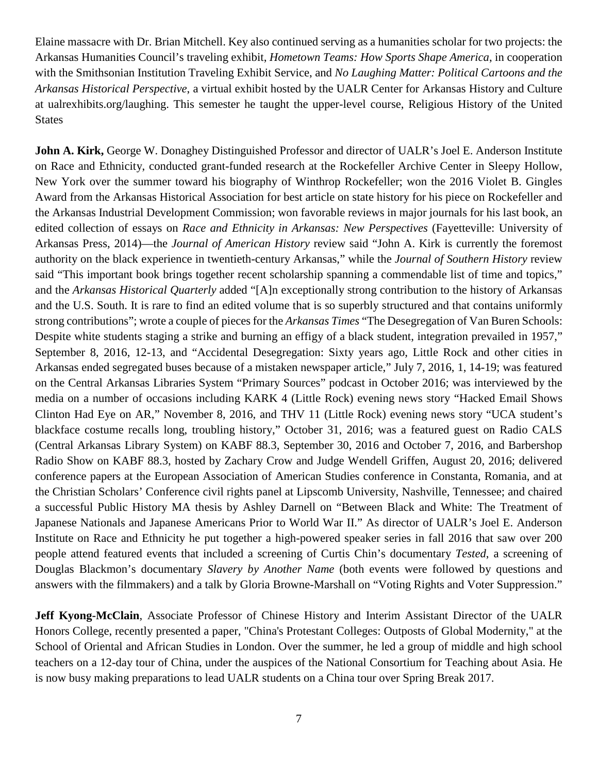Elaine massacre with Dr. Brian Mitchell. Key also continued serving as a humanities scholar for two projects: the Arkansas Humanities Council's traveling exhibit, *Hometown Teams: How Sports Shape America*, in cooperation with the Smithsonian Institution Traveling Exhibit Service, and *No Laughing Matter: Political Cartoons and the Arkansas Historical Perspective*, a virtual exhibit hosted by the UALR Center for Arkansas History and Culture at ualrexhibits.org/laughing. This semester he taught the upper-level course, Religious History of the United **States** 

**John A. Kirk,** George W. Donaghey Distinguished Professor and director of UALR's Joel E. Anderson Institute on Race and Ethnicity, conducted grant-funded research at the Rockefeller Archive Center in Sleepy Hollow, New York over the summer toward his biography of Winthrop Rockefeller; won the 2016 Violet B. Gingles Award from the Arkansas Historical Association for best article on state history for his piece on Rockefeller and the Arkansas Industrial Development Commission; won favorable reviews in major journals for his last book, an edited collection of essays on *Race and Ethnicity in Arkansas: New Perspectives* (Fayetteville: University of Arkansas Press, 2014)—the *Journal of American History* review said "John A. Kirk is currently the foremost authority on the black experience in twentieth-century Arkansas," while the *Journal of Southern History* review said "This important book brings together recent scholarship spanning a commendable list of time and topics," and the *Arkansas Historical Quarterly* added "[A]n exceptionally strong contribution to the history of Arkansas and the U.S. South. It is rare to find an edited volume that is so superbly structured and that contains uniformly strong contributions"; wrote a couple of pieces for the *Arkansas Times* "The Desegregation of Van Buren Schools: Despite white students staging a strike and burning an effigy of a black student, integration prevailed in 1957," September 8, 2016, 12-13, and "Accidental Desegregation: Sixty years ago, Little Rock and other cities in Arkansas ended segregated buses because of a mistaken newspaper article," July 7, 2016, 1, 14-19; was featured on the Central Arkansas Libraries System "Primary Sources" podcast in October 2016; was interviewed by the media on a number of occasions including KARK 4 (Little Rock) evening news story "Hacked Email Shows Clinton Had Eye on AR," November 8, 2016, and THV 11 (Little Rock) evening news story "UCA student's blackface costume recalls long, troubling history," October 31, 2016; was a featured guest on Radio CALS (Central Arkansas Library System) on KABF 88.3, September 30, 2016 and October 7, 2016, and Barbershop Radio Show on KABF 88.3, hosted by Zachary Crow and Judge Wendell Griffen, August 20, 2016; delivered conference papers at the European Association of American Studies conference in Constanta, Romania, and at the Christian Scholars' Conference civil rights panel at Lipscomb University, Nashville, Tennessee; and chaired a successful Public History MA thesis by Ashley Darnell on "Between Black and White: The Treatment of Japanese Nationals and Japanese Americans Prior to World War II." As director of UALR's Joel E. Anderson Institute on Race and Ethnicity he put together a high-powered speaker series in fall 2016 that saw over 200 people attend featured events that included a screening of Curtis Chin's documentary *Tested*, a screening of Douglas Blackmon's documentary *Slavery by Another Name* (both events were followed by questions and answers with the filmmakers) and a talk by Gloria Browne-Marshall on "Voting Rights and Voter Suppression."

**Jeff Kyong-McClain**, Associate Professor of Chinese History and Interim Assistant Director of the UALR Honors College, recently presented a paper, "China's Protestant Colleges: Outposts of Global Modernity," at the School of Oriental and African Studies in London. Over the summer, he led a group of middle and high school teachers on a 12-day tour of China, under the auspices of the National Consortium for Teaching about Asia. He is now busy making preparations to lead UALR students on a China tour over Spring Break 2017.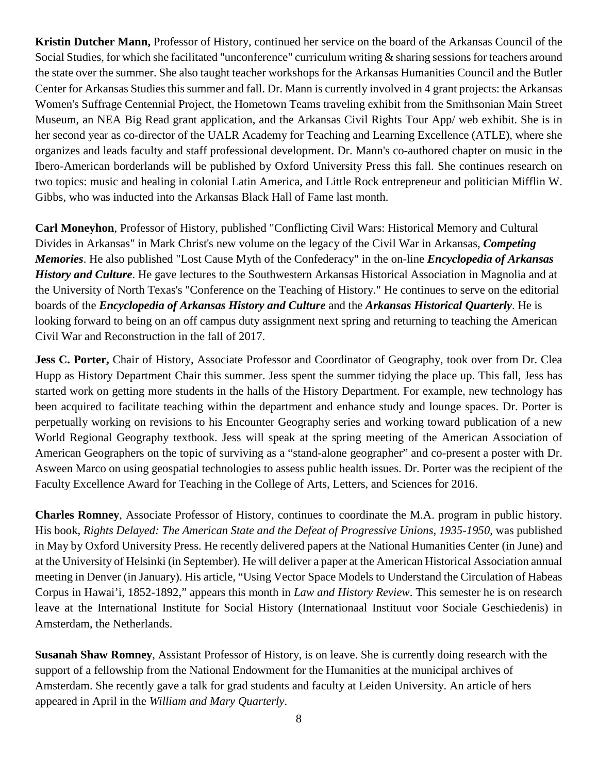**Kristin Dutcher Mann,** Professor of History, continued her service on the board of the Arkansas Council of the Social Studies, for which she facilitated "unconference" curriculum writing & sharing sessions for teachers around the state over the summer. She also taught teacher workshops for the Arkansas Humanities Council and the Butler Center for Arkansas Studies this summer and fall. Dr. Mann is currently involved in 4 grant projects: the Arkansas Women's Suffrage Centennial Project, the Hometown Teams traveling exhibit from the Smithsonian Main Street Museum, an NEA Big Read grant application, and the Arkansas Civil Rights Tour App/ web exhibit. She is in her second year as co-director of the UALR Academy for Teaching and Learning Excellence (ATLE), where she organizes and leads faculty and staff professional development. Dr. Mann's co-authored chapter on music in the Ibero-American borderlands will be published by Oxford University Press this fall. She continues research on two topics: music and healing in colonial Latin America, and Little Rock entrepreneur and politician Mifflin W. Gibbs, who was inducted into the Arkansas Black Hall of Fame last month.

**Carl Moneyhon**, Professor of History, published "Conflicting Civil Wars: Historical Memory and Cultural Divides in Arkansas" in Mark Christ's new volume on the legacy of the Civil War in Arkansas, *Competing Memories*. He also published "Lost Cause Myth of the Confederacy" in the on-line *Encyclopedia of Arkansas History and Culture*. He gave lectures to the Southwestern Arkansas Historical Association in Magnolia and at the University of North Texas's "Conference on the Teaching of History." He continues to serve on the editorial boards of the *Encyclopedia of Arkansas History and Culture* and the *Arkansas Historical Quarterly*. He is looking forward to being on an off campus duty assignment next spring and returning to teaching the American Civil War and Reconstruction in the fall of 2017.

**Jess C. Porter,** Chair of History, Associate Professor and Coordinator of Geography, took over from Dr. Clea Hupp as History Department Chair this summer. Jess spent the summer tidying the place up. This fall, Jess has started work on getting more students in the halls of the History Department. For example, new technology has been acquired to facilitate teaching within the department and enhance study and lounge spaces. Dr. Porter is perpetually working on revisions to his Encounter Geography series and working toward publication of a new World Regional Geography textbook. Jess will speak at the spring meeting of the American Association of American Geographers on the topic of surviving as a "stand-alone geographer" and co-present a poster with Dr. Asween Marco on using geospatial technologies to assess public health issues. Dr. Porter was the recipient of the Faculty Excellence Award for Teaching in the College of Arts, Letters, and Sciences for 2016.

**Charles Romney**, Associate Professor of History, continues to coordinate the M.A. program in public history. His book, *Rights Delayed: The American State and the Defeat of Progressive Unions, 1935-1950*, was published in May by Oxford University Press. He recently delivered papers at the National Humanities Center (in June) and at the University of Helsinki (in September). He will deliver a paper at the American Historical Association annual meeting in Denver (in January). His article, "Using Vector Space Models to Understand the Circulation of Habeas Corpus in Hawai'i, 1852-1892," appears this month in *Law and History Review*. This semester he is on research leave at the International Institute for Social History (Internationaal Instituut voor Sociale Geschiedenis) in Amsterdam, the Netherlands.

**Susanah Shaw Romney**, Assistant Professor of History, is on leave. She is currently doing research with the support of a fellowship from the National Endowment for the Humanities at the municipal archives of Amsterdam. She recently gave a talk for grad students and faculty at Leiden University. An article of hers appeared in April in the *William and Mary Quarterly*.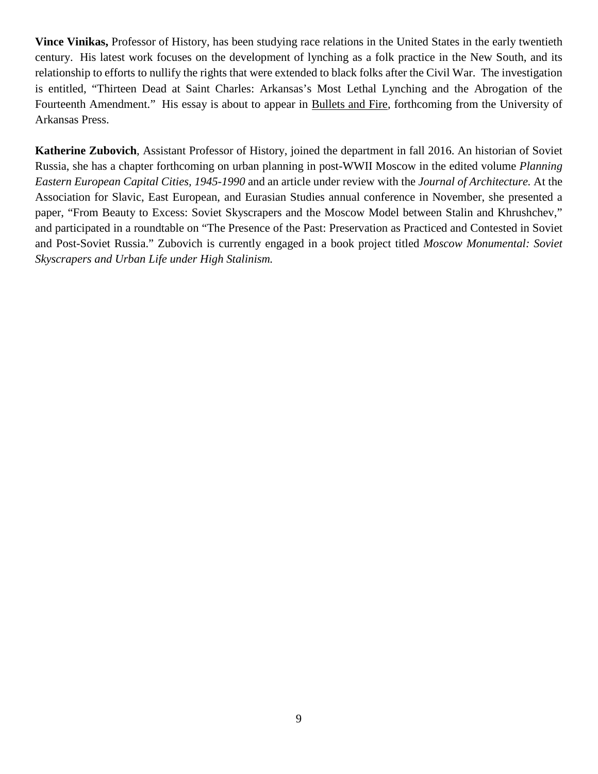**Vince Vinikas,** Professor of History, has been studying race relations in the United States in the early twentieth century. His latest work focuses on the development of lynching as a folk practice in the New South, and its relationship to efforts to nullify the rights that were extended to black folks after the Civil War. The investigation is entitled, "Thirteen Dead at Saint Charles: Arkansas's Most Lethal Lynching and the Abrogation of the Fourteenth Amendment." His essay is about to appear in Bullets and Fire, forthcoming from the University of Arkansas Press.

**Katherine Zubovich**, Assistant Professor of History, joined the department in fall 2016. An historian of Soviet Russia, she has a chapter forthcoming on urban planning in post-WWII Moscow in the edited volume *Planning Eastern European Capital Cities, 1945-1990* and an article under review with the *Journal of Architecture.* At the Association for Slavic, East European, and Eurasian Studies annual conference in November, she presented a paper, "From Beauty to Excess: Soviet Skyscrapers and the Moscow Model between Stalin and Khrushchev," and participated in a roundtable on "The Presence of the Past: Preservation as Practiced and Contested in Soviet and Post-Soviet Russia." Zubovich is currently engaged in a book project titled *Moscow Monumental: Soviet Skyscrapers and Urban Life under High Stalinism.*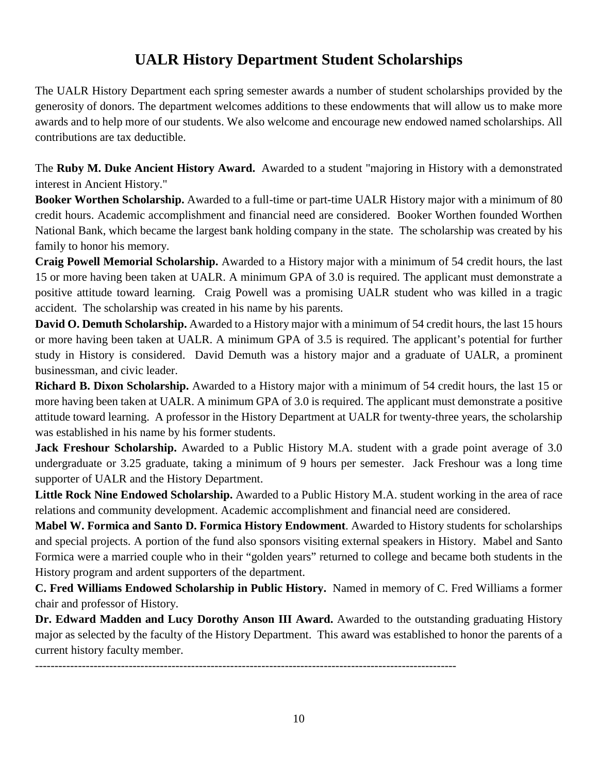# **UALR History Department Student Scholarships**

The UALR History Department each spring semester awards a number of student scholarships provided by the generosity of donors. The department welcomes additions to these endowments that will allow us to make more awards and to help more of our students. We also welcome and encourage new endowed named scholarships. All contributions are tax deductible.

The **Ruby M. Duke Ancient History Award.** Awarded to a student "majoring in History with a demonstrated interest in Ancient History."

**Booker Worthen Scholarship.** Awarded to a full-time or part-time UALR History major with a minimum of 80 credit hours. Academic accomplishment and financial need are considered. Booker Worthen founded Worthen National Bank, which became the largest bank holding company in the state. The scholarship was created by his family to honor his memory.

**Craig Powell Memorial Scholarship.** Awarded to a History major with a minimum of 54 credit hours, the last 15 or more having been taken at UALR. A minimum GPA of 3.0 is required. The applicant must demonstrate a positive attitude toward learning. Craig Powell was a promising UALR student who was killed in a tragic accident. The scholarship was created in his name by his parents.

**David O. Demuth Scholarship.** Awarded to a History major with a minimum of 54 credit hours, the last 15 hours or more having been taken at UALR. A minimum GPA of 3.5 is required. The applicant's potential for further study in History is considered. David Demuth was a history major and a graduate of UALR, a prominent businessman, and civic leader.

**Richard B. Dixon Scholarship.** Awarded to a History major with a minimum of 54 credit hours, the last 15 or more having been taken at UALR. A minimum GPA of 3.0 is required. The applicant must demonstrate a positive attitude toward learning. A professor in the History Department at UALR for twenty-three years, the scholarship was established in his name by his former students.

**Jack Freshour Scholarship.** Awarded to a Public History M.A. student with a grade point average of 3.0 undergraduate or 3.25 graduate, taking a minimum of 9 hours per semester. Jack Freshour was a long time supporter of UALR and the History Department.

**Little Rock Nine Endowed Scholarship.** Awarded to a Public History M.A. student working in the area of race relations and community development. Academic accomplishment and financial need are considered.

**Mabel W. Formica and Santo D. Formica History Endowment**. Awarded to History students for scholarships and special projects. A portion of the fund also sponsors visiting external speakers in History. Mabel and Santo Formica were a married couple who in their "golden years" returned to college and became both students in the History program and ardent supporters of the department.

**C. Fred Williams Endowed Scholarship in Public History.** Named in memory of C. Fred Williams a former chair and professor of History.

Dr. Edward Madden and Lucy Dorothy Anson III Award. Awarded to the outstanding graduating History major as selected by the faculty of the History Department. This award was established to honor the parents of a current history faculty member.

------------------------------------------------------------------------------------------------------------